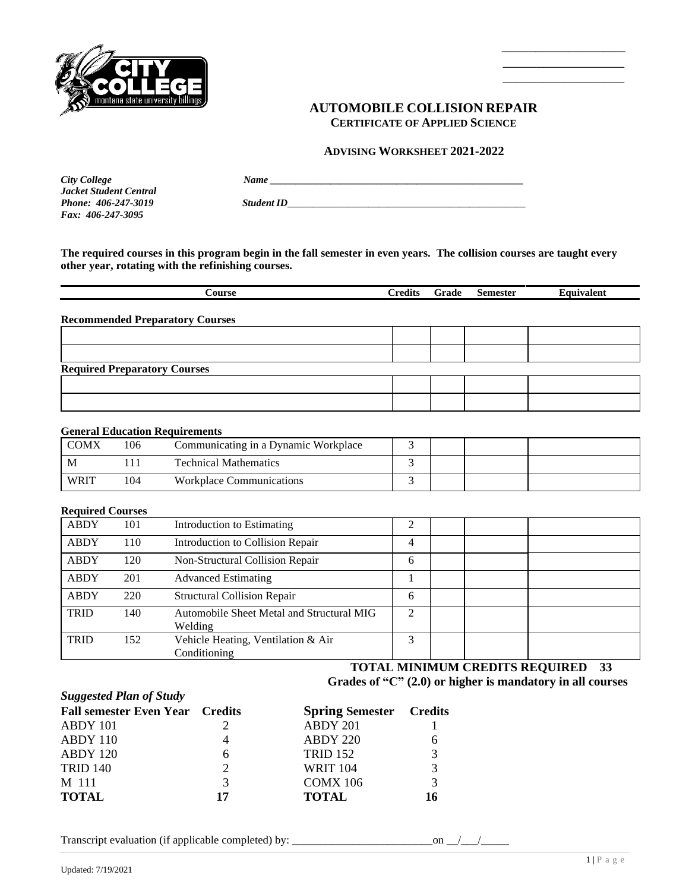

## **AUTOMOBILE COLLISION REPAIR CERTIFICATE OF APPLIED SCIENCE**

 $\frac{1}{2}$  ,  $\frac{1}{2}$  ,  $\frac{1}{2}$  ,  $\frac{1}{2}$  ,  $\frac{1}{2}$  ,  $\frac{1}{2}$  ,  $\frac{1}{2}$  ,  $\frac{1}{2}$  ,  $\frac{1}{2}$  ,  $\frac{1}{2}$  ,  $\frac{1}{2}$  ,  $\frac{1}{2}$  ,  $\frac{1}{2}$  ,  $\frac{1}{2}$  ,  $\frac{1}{2}$  ,  $\frac{1}{2}$  ,  $\frac{1}{2}$  ,  $\frac{1}{2}$  ,  $\frac{1$  $\overline{\phantom{a}}$  , which is a set of the set of the set of the set of the set of the set of the set of the set of the set of the set of the set of the set of the set of the set of the set of the set of the set of the set of th  $\overline{\phantom{a}}$  , which is a set of the set of the set of the set of the set of the set of the set of the set of the set of the set of the set of the set of the set of the set of the set of the set of the set of the set of th

### **ADVISING WORKSHEET 2021-2022**

*City College Name \_\_\_\_\_\_\_\_\_\_\_\_\_\_\_\_\_\_\_\_\_\_\_\_\_\_\_\_\_\_\_\_\_\_\_\_\_\_\_\_\_\_\_\_\_\_\_\_\_\_ Jacket Student Central Fax: 406-247-3095*

*Phone: 406-247-3019 Student ID\_\_\_\_\_\_\_\_\_\_\_\_\_\_\_\_\_\_\_\_\_\_\_\_\_\_\_\_\_\_\_\_\_\_\_\_\_\_\_\_\_\_\_\_\_\_\_*

**The required courses in this program begin in the fall semester in even years. The collision courses are taught every other year, rotating with the refinishing courses.**

| Course                                 | <b>Credits</b> | Grade | <b>Semester</b> | Equivalent |
|----------------------------------------|----------------|-------|-----------------|------------|
| <b>Recommended Preparatory Courses</b> |                |       |                 |            |
|                                        |                |       |                 |            |
|                                        |                |       |                 |            |
| <b>Required Preparatory Courses</b>    |                |       |                 |            |
|                                        |                |       |                 |            |
|                                        |                |       |                 |            |

#### **General Education Requirements**

| <b>COMX</b> | 106 | Communicating in a Dynamic Workplace |  |  |  |
|-------------|-----|--------------------------------------|--|--|--|
| M           |     | <b>Technical Mathematics</b>         |  |  |  |
| <b>WRIT</b> | 104 | <b>Workplace Communications</b>      |  |  |  |

#### **Required Courses**

*Suggested Plan of Study*

| <b>ABDY</b> | 101 | Introduction to Estimating                           | ∍ |  |  |
|-------------|-----|------------------------------------------------------|---|--|--|
| <b>ABDY</b> | 110 | Introduction to Collision Repair                     | 4 |  |  |
| ABDY        | 120 | Non-Structural Collision Repair                      | 6 |  |  |
| <b>ABDY</b> | 201 | <b>Advanced Estimating</b>                           |   |  |  |
| <b>ABDY</b> | 220 | <b>Structural Collision Repair</b>                   | 6 |  |  |
| <b>TRID</b> | 140 | Automobile Sheet Metal and Structural MIG<br>Welding | ↑ |  |  |
| <b>TRID</b> | 152 | Vehicle Heating, Ventilation & Air<br>Conditioning   | 3 |  |  |

 **TOTAL MINIMUM CREDITS REQUIRED 33 Grades of "C" (2.0) or higher is mandatory in all courses**

| <b>Fall semester Even Year</b> Credits |    | <b>Spring Semester</b> Credits |    |
|----------------------------------------|----|--------------------------------|----|
| ABDY 101                               |    | ABDY 201                       |    |
| ABDY 110                               |    | ABDY 220                       |    |
| ABDY 120                               | 6  | <b>TRID 152</b>                | 3  |
| <b>TRID 140</b>                        | 2  | <b>WRIT 104</b>                | 3  |
| M 111                                  | 3  | COMX 106                       | 3  |
| <b>TOTAL</b>                           | 17 | <b>TOTAL</b>                   | 16 |
|                                        |    |                                |    |

Transcript evaluation (if applicable completed) by: \_\_\_\_\_\_\_\_\_\_\_\_\_\_\_\_\_\_\_\_\_\_\_\_\_on \_\_/\_\_\_/\_\_\_\_\_